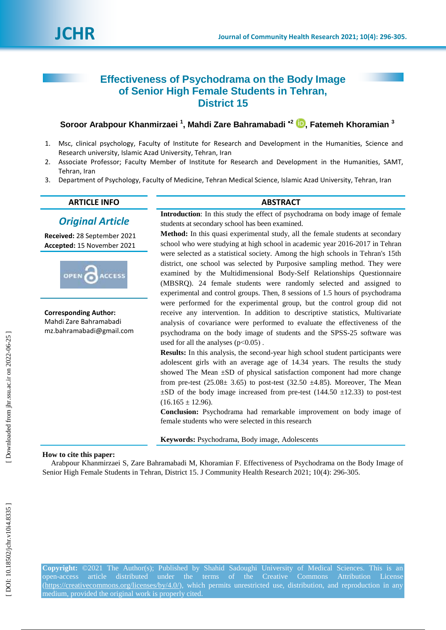# **Effectiveness of Psychodrama on the Body Image of Senior High Female Students in Tehran, District 15**

# **Soroor Arabpour Khanmirzaei** <sup>1</sup>[,](https://orcid.org/0000-0003-0632-2142) Mahdi Zare Bahramabadi <sup>+2</sup> D, Fatemeh Khoramian <sup>3</sup>

- 1 . Msc, clinical psychology, Faculty of Institute for Research and Development in the Humanities, Science and Research university, Islamic Azad University, Tehran, Iran
- 2 . Associate Professor; Faculty Member of Institute for Research and Development in the Humanities, SAMT, Tehran, Iran
- 3 . Department of Psychology, Faculty of Medicine, Tehran Medical Science, Islamic Azad University, Tehran, Iran

# **ARTICLE INFO ABSTRACT**

# *Original Article*

**Received:** 28 September 2021 **Accepted:** 15 November 2021



**Corresponding Author:** Mahdi Zare Bahramabadi mz.bahramabadi@gmail.com

**Introduction**: In this study the effect of psychodrama on body image of female students at secondary school has been examined.

**Method:** In this quasi experimental study, all the female students at secondary school who were studying at high school in academic year 2016-2017 in Tehran were selected as a statistical society. Among the high schools in Tehran's 15th district, one school was selected by Purposive sampling method. They were examined by the Multidimensional Body -Self Relationships Questionnaire (MBSRQ). 24 female students were randomly selected and assigned to experimental and control groups. Then, 8 sessions of 1.5 hours of psychodrama were performed for the experimental group, but the control group did not receive any intervention. In addition to descriptive statistics, Multivariate analysis of covariance were performed to evaluate the effectiveness of the psychodrama on the body image of students and the SPSS -25 software was used for all the analyses  $(p<0.05)$ .

**Results:** In this analysis, the second -year high school student participants were adolescent girls with an average age of 14.34 years. The results the study showed The Mean  $\pm$ SD of physical satisfaction component had more change from pre-test  $(25.08 \pm 3.65)$  to post-test  $(32.50 \pm 4.85)$ . Moreover, The Mean  $\pm$ SD of the body image increased from pre-test (144.50  $\pm$ 12.33) to post-test  $(16.165 \pm 12.96)$ .

**Conclusion:** Psychodrama had remarkable improvement on body image of female students who were selected in this research

**Keywords:** Psychodrama, Body image, Adolescents

# **How to cite this paper:**

Arabpour Khanmirzaei S, Zare Bahramabadi M, Khoramian F . Effectiveness of Psychodrama on the Body Image of Senior High Female Students in Tehran, District 15. J Community Health Research 2021; 10(4): 296-305.

**Copyright:** ©2021 The Author(s); Published by Shahid Sadoughi University of Medical Sciences. This is an open-access article distributed under the terms of the Creative Commons Attribution License [\(https://creativecommons.org/licenses/by/4.0/\)](https://creativecommons.org/licenses/by/4.0/), which permits unrestricted use, distribution, and reproduction in any medium, provided the original work is properly cited.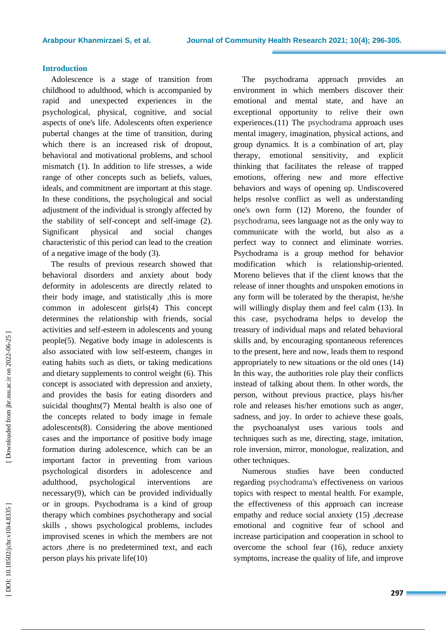# **Introduction**

Adolescence is a stage of transition from childhood to adulthood, which is accompanied by rapid and unexpected experiences in the psychological, physical, cognitive, and social aspects of one's life. Adolescents often experience pubertal changes at the time of transition, during which there is a n increased risk of dropout, behavioral and motivational problems, and school mismatch (1). In addition to life stresses, a wide range of other concepts such as beliefs, values, ideals, and commitment are important at this stage. In these conditions, the psychological and social adjustment of the individual is strongly affected by the stability of self -concept and self -image (2). Significant physical and social changes characteristic of this period can lead to the creation of a negative image of the body (3).

The results of previous research showed that behavioral disorders and anxiety about body deformity in adolescents are directly related to their body image , and statistically ,this is more common in adolescent girls(4) This concept determines the relationship with friends , social activities and self -esteem in adolescents and young people(5) . Negative body image in adolescents is also associated with low self -esteem, changes in eating habits such as diets, or taking medications and dietary supplements to control weight (6) . This concept is associated with depression and anxiety, and provides the basis for eating disorders and suicidal thoughts (7) Mental health is also one of the concepts related to body image in female adolescents(8). Considering the above mentioned cases and the importance of positive body image formation during adolescence, which can be an important factor in preventing from various psychological disorders in adolescence and adulthood, psychological interventions are necessary(9) , which can be provided individually or in groups. Psychodrama is a kind of group therapy which combines psychotherapy and social skills , shows psychological problems , includes improvised scenes in which the members are not actors ,there is no predetermined text , and each person plays his private life(10)

The psychodrama approach provides an environment in which members discover their emotional and mental state , and have an exceptional opportunity to relive their own experiences.(11) The psychodrama approach uses mental imagery, imagination, physical actions, and group dynamics. It is a combination of art, play therapy, emotional sensitivity, and explicit thinking that facilitates the release of trapped emotions, offering new and more effective behaviors and ways of opening up. Undiscovered helps resolve conflict as well as understanding one's own form (12) Moreno, the founder of psychodrama, sees language not as the only way to communicate with the world, but also as a perfect way to connect and eliminate worries. Psychodrama is a group method for behavior modification which is relationship-oriented. Moreno believes that if the client knows that the release of inner thoughts and unspoken emotions in any form will be tolerated by the therapist, he/she will willingly display them and feel calm (13). In this case, psychodrama helps to develop the treasury of individual maps and related behavioral skills and, by encouraging spontaneous references to the present, here and now, lead s them to respond appropriately to new situations or the old ones (14) In this way, the authorities role play their conflicts instead of talking about them. In other words, the person, without previous practice, plays his/her role and releases his/her emotions such as anger, sadness, and joy. In order to achieve these goals, the psychoanalyst uses various tools and techniques such as me, directing, stage, imitation, role inversion, mirror, monologue, realization, and other techniques.

Numerous studies have been conducted regarding psychodrama's effectiveness on various topics with respect to mental health. For example, the effectiveness of this approach can increase empathy and reduce social anxiety (15) , decrease emotional and cognitive fear of school and increase participation and cooperation in school to overcome the school fear (16) , reduce anxiety symptoms, increase the quality of life , and improve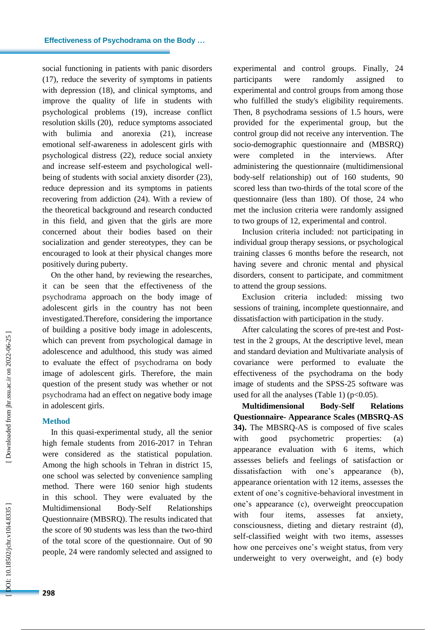social functioning in patients with panic disorders (17) , reduce the severity of symptoms in patients with depression (18) , and clinical symptoms , and improve the quality of life in students with psychological problems (19) , increas e conflict resolution skills (20) , reduce symptoms associated with bulimia and anorexia (21) , increase emotional self-awareness in adolescent girls with psychological distress (22) , reduce social anxiety and increase self-esteem and psychological well being of students with social anxiety disorder (23) , reduc e depression and its symptoms in patients recovering from addiction (24). With a review of the theoretical background and research conducted in this field, and given that the girls are more concerned about their bodies based on their socialization and gender stereotypes, they can be encouraged to look at their physical changes more positively during puberty.

On the other hand, by reviewing the researches, it can be seen that the effectiveness of the psychodrama approach on the body image of adolescent girls in the country has not been investigated .Therefore, considering the importance of building a positive body image in adolescents, which can prevent from psychological damage in adolescence and adulthood, this study was aimed to evaluate the effect of psychodrama on body image of adolescent girls. Therefore, the main question of the present study was whether or not psychodrama had an effect on negative body image in adolescent girls .

# **Method**

In this quasi -experimental study, all the senior high female students from 2016 -2017 in Tehran were considered as the statistical population. Among the high schools in Tehran in district 15, one school was selected by convenience sampling method. There were 160 senior high students in this school. They were evaluated by the Multidimensional Body-Self **Relationships** Questionnaire (MBSRQ). The results indicated that the score of 90 students was less than the two -third of the total score of the questionnaire. Out of 90 people, 24 were randomly selected and assigned to

experimental and control groups. Finally, 24 participants were randomly assigned to experimental and control groups from among those who fulfilled the study's eligibility requirements. Then, 8 psychodrama sessions of 1.5 hours, were provided for the experimental group, but the control group did not receive any intervention. The socio -demographic questionnaire and (MBSRQ) were completed in the interviews. After administering the questionnaire (multidimensional body -self relationship) out of 160 students, 90 scored less than two -thirds of the total score of the questionnaire (less than 180). Of those, 24 who met the inclusion criteria were randomly assigned to two groups of 12, experimental and control.

Inclusion criteria included: not participating in individual group therapy sessions , or psychological training classes 6 months before the research, not having severe and chronic mental and physical disorders, consent to participate, and commitment to attend the group sessions.

Exclusion criteria include d: missing two sessions of training, incomplete questionnaire, and dissatisfaction with participation in the study .

After calculating the scores of pre -test and Post test in the 2 groups, At the descriptive level, mean and standard deviation and Multivariate analysis of covariance were performed to evaluate the effectiveness of the psychodrama on the body image of students and the SPSS -25 software was used for all the analyses (Table 1)  $(p<0.05)$ .

**Multidimensional Body -Self Relations Questionnaire - Appearance Scales (MBSRQ -AS 34).** The MBSRQ -AS is composed of five scales with good psychometric properties: (a) appearance evaluation with 6 items, which assesses beliefs and feelings of satisfaction or dissatisfaction with one's appearance (b), appearance orientation with 12 items, assesses the extent of one's cognitive -behavioral investment in one's appearance (c) , overweight preoccupation with four items, assesses fat anxiety, consciousness, dieting and dietary restraint (d) , self -classified weight with two items, assesses how one perceives one's weight status, from very underweight to very overweight, and (e) body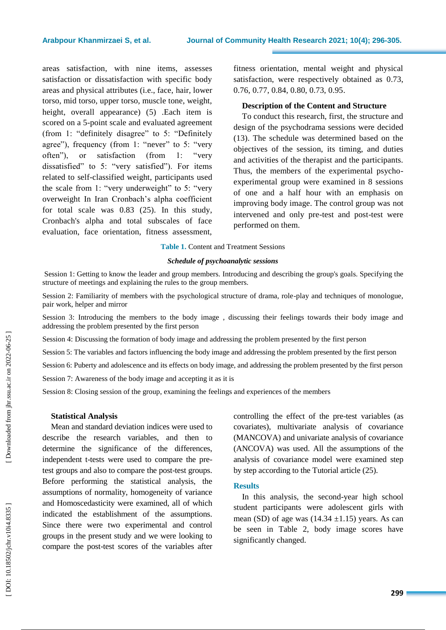areas satisfaction, with nine items, assesses satisfaction or dissatisfaction with specific body areas and physical attributes (i.e., face, hair, lower torso, mid torso, upper torso, muscle tone, weight, height, overall appearance) (5) .Each item is scored on a 5 -point scale and evaluated agreement (from 1: "definitely disagree" to 5: "Definitely agree"), frequency (from 1: "never" to 5: "very often"), or satisfaction (from 1: "very dissatisfied" to 5: "very satisfied"). For items related to self -classified weight, participants use d the scale from 1: "very underweight" to 5: "very overweight In Iran Cronbach's alpha coefficient for total scale was 0.83 (25 ) . In this study, Cronbach's alpha and total subscales of face evaluation, face orientation, fitness assessment,

fitness orientation, mental weight and physical satisfaction, were respectively obtained as 0.73, 0.76, 0.77, 0.84, 0.80, 0.73, 0.95 .

# **Description of the Content and Structure**

To conduct this research, first, the structure and design of the psychodrama sessions were decided (13). The schedule was determined based on the objectives of the session, it s timing, and duties and activities of the therapist and the participants. Thus, the members of the experimental psycho experimental group were examined in 8 sessions of one and a half hour with an emphasis on improving body image. The control group was not intervened and only pre -test and post -test were performed on them.

#### **Table 1 .** Content and Treatment Sessions

#### *Schedule of psychoanalytic sessions*

Session 1: Getting to know the leader and group members. Introducing and describing the group's goals. Specifying the structure of meetings and explaining the rules to the group members.

Session 2: Familiarity of members with the psychological structure of drama, role-play and techniques of monologue, pair work, helper and mirror

Session 3: Introducing the members to the body image , discussing their feelings towards their body image and addressing the problem presented by the first person

Session 4: Discussing the formation of body image and addressing the problem presented by the first person

Session 5: The variable s and factors influencing the body image and addressing the problem presented by the first person

Session 6: Puberty and adolescence and its effects on body image , and addressing the problem presented by the first person

Session 7: Awareness of the body image and accepting it as it is

Session 8: Closing session of the group, examining the feelings and experiences of the members

# **Statistical Analysis**

Mean and standard deviation indices were used to describe the research variables, and then to determine the significance of the differences, independent t -tests were used to compare the pre test groups and also to compare the post -test groups. Before performing the statistical analysis, the assumptions of normality, homogeneity of variance and Homoscedasticity were examined, all of which indicated the establishment of the assumptions. Since there were two experimental and control groups in the present study and we were looking to compare the post -test scores of the variables after

controlling the effect of the pre -test variables (as covariates), multivariate analysis of covariance (MANCOVA) and univariate analysis of covariance (ANCOVA) was used. All the assumptions of the analysis of covariance model were examined step by step according to the Tutorial article (25) .

#### **Results**

In this analysis, the second -year high school student participants were adolescent girls with mean (SD) of age was  $(14.34 \pm 1.15)$  years. As can be seen in Table 2, body image scores have significantly changed.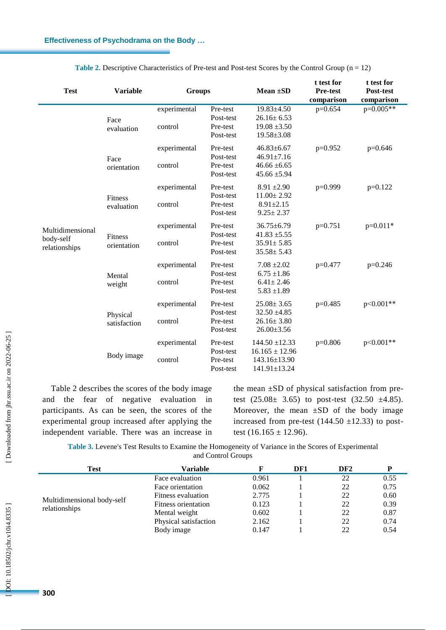| <b>Test</b>                                    | <b>Variable</b>              | <b>Groups</b>           |                                                | Mean $\pm SD$                                                                  | t test for<br>Pre-test<br>comparison | t test for<br>Post-test<br>comparison |  |
|------------------------------------------------|------------------------------|-------------------------|------------------------------------------------|--------------------------------------------------------------------------------|--------------------------------------|---------------------------------------|--|
| Multidimensional<br>body-self<br>relationships | Face<br>evaluation           | experimental<br>control | Pre-test<br>Post-test<br>Pre-test<br>Post-test | $19.83 \pm 4.50$<br>$26.16 \pm 6.53$<br>$19.08 \pm 3.50$<br>$19.58 \pm 3.08$   | $p=0.654$                            | $p=0.005**$                           |  |
|                                                | Face<br>orientation          | experimental<br>control | Pre-test<br>Post-test<br>Pre-test<br>Post-test | $46.83 \pm 6.67$<br>$46.91 \pm 7.16$<br>$46.66 \pm 6.65$<br>$45.66 \pm 5.94$   | $p=0.952$                            | $p=0.646$                             |  |
|                                                | <b>Fitness</b><br>evaluation | experimental<br>control | Pre-test<br>Post-test<br>Pre-test<br>Post-test | $8.91 \pm 2.90$<br>$11.00 \pm 2.92$<br>$8.91 \pm 2.15$<br>$9.25 \pm 2.37$      | $p=0.999$                            | $p=0.122$                             |  |
|                                                | Fitness<br>orientation       | experimental<br>control | Pre-test<br>Post-test<br>Pre-test<br>Post-test | $36.75 \pm 6.79$<br>$41.83 + 5.55$<br>$35.91 \pm 5.85$<br>$35.58 \pm 5.43$     | $p=0.751$                            | $p=0.011*$                            |  |
|                                                | Mental<br>weight             | experimental<br>control | Pre-test<br>Post-test<br>Pre-test<br>Post-test | $7.08 \pm 2.02$<br>$6.75 \pm 1.86$<br>$6.41 \pm 2.46$<br>$5.83 \pm 1.89$       | $p=0.477$                            | $p=0.246$                             |  |
|                                                | Physical<br>satisfaction     | experimental<br>control | Pre-test<br>Post-test<br>Pre-test<br>Post-test | $25.08 \pm 3.65$<br>$32.50 \pm 4.85$<br>$26.16 \pm 3.80$<br>$26.00 \pm 3.56$   | $p=0.485$                            | $p<0.001**$                           |  |
|                                                | Body image                   | experimental<br>control | Pre-test<br>Post-test<br>Pre-test<br>Post-test | $144.50 \pm 12.33$<br>$16.165 \pm 12.96$<br>143.16±13.90<br>$141.91 \pm 13.24$ | $p=0.806$                            | $p<0.001**$                           |  |

**Table 2.** Descriptive Characteristics of Pre-test and Post-test Scores by the Control Group  $(n = 12)$ 

Table 2 describes the scores of the body image and the fear of negative evaluation in participants. As can be seen, the scores of the experimental group increased after applying the independent variable. There was an increase in

the mean  $\pm SD$  of physical satisfaction from pretest  $(25.08 \pm 3.65)$  to post-test  $(32.50 \pm 4.85)$ . Moreover, the mean  $\pm SD$  of the body image increased from pre-test  $(144.50 \pm 12.33)$  to posttest  $(16.165 \pm 12.96)$ .

**Table 3 .** Levene's Test Results to Examine the Homogeneity of Variance in the Scores of Experimental and Control Groups

| <b>Test</b>                | <b>Variable</b>       |       | DF1 | DF <sub>2</sub> |      |
|----------------------------|-----------------------|-------|-----|-----------------|------|
|                            | Face evaluation       | 0.961 |     | 22              | 0.55 |
|                            | Face orientation      | 0.062 |     | 22              | 0.75 |
|                            | Fitness evaluation    | 2.775 |     | 22              | 0.60 |
| Multidimensional body-self | Fitness orientation   | 0.123 |     | 22              | 0.39 |
| relationships              | Mental weight         | 0.602 |     | 22              | 0.87 |
|                            | Physical satisfaction | 2.162 |     | 22              | 0.74 |
|                            | Body image            | 0.147 |     | 22              | 0.54 |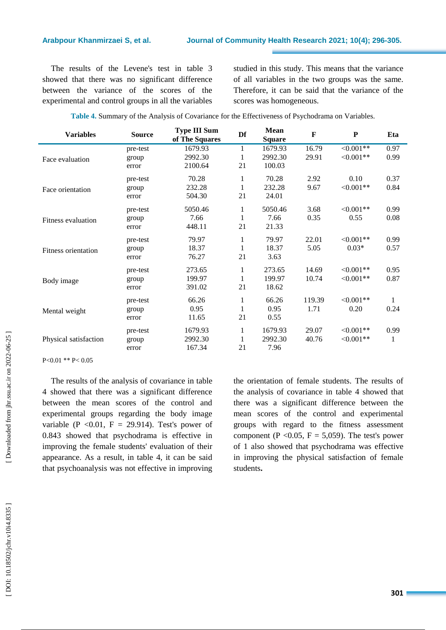The results of the Levene's test in table 3 showed that there was no significant difference between the variance of the scores of the experimental and control groups in all the variables studied in this study. This means that the variance of all variables in the two groups was the same. Therefore, it can be said that the variance of the scores was homogeneous.

| <b>Variables</b>           | <b>Source</b> | <b>Type III Sum</b><br>of The Squares | Df | Mean<br><b>Square</b> | F      | P              | Eta  |
|----------------------------|---------------|---------------------------------------|----|-----------------------|--------|----------------|------|
|                            | pre-test      | 1679.93                               | 1  | 1679.93               | 16.79  | $<0.001**$     | 0.97 |
| Face evaluation            | group         | 2992.30                               | 1  | 2992.30               | 29.91  | $\leq 0.001**$ | 0.99 |
|                            | error         | 2100.64                               | 21 | 100.03                |        |                |      |
|                            | pre-test      | 70.28                                 | 1  | 70.28                 | 2.92   | 0.10           | 0.37 |
| Face orientation           | group         | 232.28                                | 1  | 232.28                | 9.67   | $<0.001**$     | 0.84 |
|                            | error         | 504.30                                | 21 | 24.01                 |        |                |      |
|                            | pre-test      | 5050.46                               | 1  | 5050.46               | 3.68   | $\leq 0.001**$ | 0.99 |
| Fitness evaluation         | group         | 7.66                                  | 1  | 7.66                  | 0.35   | 0.55           | 0.08 |
|                            | error         | 448.11                                | 21 | 21.33                 |        |                |      |
|                            | pre-test      | 79.97                                 | 1  | 79.97                 | 22.01  | $\leq 0.001**$ | 0.99 |
| <b>Fitness orientation</b> | group         | 18.37                                 | 1  | 18.37                 | 5.05   | $0.03*$        | 0.57 |
|                            | error         | 76.27                                 | 21 | 3.63                  |        |                |      |
|                            | pre-test      | 273.65                                | 1  | 273.65                | 14.69  | $\leq 0.001**$ | 0.95 |
| Body image                 | group         | 199.97                                | 1  | 199.97                | 10.74  | $\leq 0.001**$ | 0.87 |
|                            | error         | 391.02                                | 21 | 18.62                 |        |                |      |
|                            | pre-test      | 66.26                                 | 1  | 66.26                 | 119.39 | $\leq 0.001**$ |      |
| Mental weight              | group         | 0.95                                  | 1  | 0.95                  | 1.71   | 0.20           | 0.24 |
|                            | error         | 11.65                                 | 21 | 0.55                  |        |                |      |
|                            | pre-test      | 1679.93                               | 1  | 1679.93               | 29.07  | $\leq 0.001**$ | 0.99 |
| Physical satisfaction      | group         | 2992.30                               | 1  | 2992.30               | 40.76  | $\leq 0.001**$ | 1    |
|                            | error         | 167.34                                | 21 | 7.96                  |        |                |      |

P<0.01 \*\* P< 0.05

The results of the analysis of covariance in table 4 showed that there was a significant difference between the mean scores of the control and experimental groups regarding the body image variable (P < 0.01, F = 29.914). Test's power of 0.843 showed that psychodrama is effective in improving the female students' evaluation of their appearance. As a result, in table 4, it can be said that psychoanalysis was not effective in improving the orientation of female students. The results of the analysis of covariance in table 4 showed that there was a significant difference between the mean scores of the control and experimental groups with regard to the fitness assessment component (P < 0.05, F = 5,059). The test's power of 1 also showed that psychodrama was effective in improving the physical satisfaction of female students **.**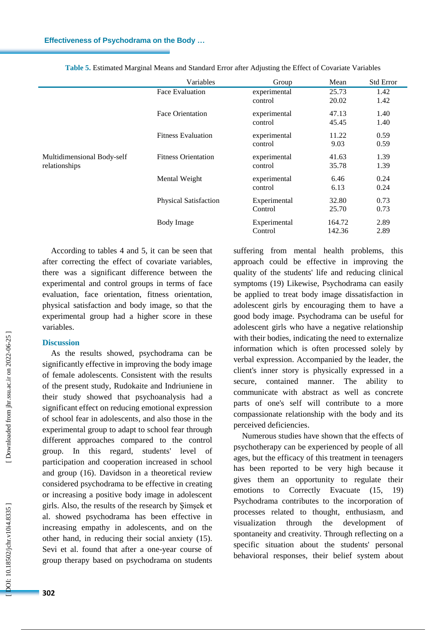|                                             | Variables                    | Group                   | Mean             | <b>Std Error</b> |
|---------------------------------------------|------------------------------|-------------------------|------------------|------------------|
|                                             | Face Evaluation              | experimental<br>control | 25.73<br>20.02   | 1.42<br>1.42     |
|                                             | <b>Face Orientation</b>      | experimental<br>control | 47.13<br>45.45   | 1.40<br>1.40     |
|                                             | <b>Fitness Evaluation</b>    | experimental<br>control | 11.22<br>9.03    | 0.59<br>0.59     |
| Multidimensional Body-self<br>relationships | <b>Fitness Orientation</b>   | experimental<br>control | 41.63<br>35.78   | 1.39<br>1.39     |
|                                             | Mental Weight                | experimental<br>control | 6.46<br>6.13     | 0.24<br>0.24     |
|                                             | <b>Physical Satisfaction</b> | Experimental<br>Control | 32.80<br>25.70   | 0.73<br>0.73     |
|                                             | <b>Body Image</b>            | Experimental<br>Control | 164.72<br>142.36 | 2.89<br>2.89     |

**Table 5 .** Estimated Marginal Means and Standard Error after Adjusting the Effect of Covariate Variables

According to tables 4 and 5, it can be seen that after correcting the effect of covariate variables, there was a significant difference between the experimental and control groups in terms of face evaluation, face orientation, fitness orientation, physical satisfaction and body image, so that the experimental group had a higher score in these variables.

# **Discussion**

As the results showed , psychodrama can be significantly effective in improving the body image of female adolescents. Consistent with the results of the present study, Rudokaite and Indriuniene in their study showed that psychoanalysis had a significant effect on reducing emotional expression of school fear in adolescents , and also those in the experimental group to adapt to school fear through different approaches compared to the control group. In this regard, students' level of participation and cooperation increased in school and group (16). Davidson in a theoretical review considered psychodrama to be effective in creating or increasing a positive body image in adolescent girls. Also, the results of the research by Şimşek et al. showed psychodrama has been effective in increasing empathy in adolescents, and on the other hand, in reducing their social anxiety (15). Sevi et al. found that after a one -year course of group therapy based on psychodrama on students

suffering from mental health problems, this approach could be effective in improving the quality of the students' life and reducing clinical symptoms (19) Likewise, Psychodrama can easily be applied to treat body image dissatisfaction in adolescent girls by encouraging them to have a good body image. Psychodrama can be useful for adolescent girls who have a negative relationship with their bodies, indicating the need to externalize information which is often processed solely by verbal expression. Accompanied by the leader, the client's inner story is physically expressed in a secure, contained manner. The ability to communicate with abstract as well as concrete parts of one's self will contribute to a more compassionate relationship with the body and its perceived deficiencies .

Numerous studies have shown that the effects of psychotherapy can be experienced by people of all ages, but the efficacy of this treatment in teenagers has been reported to be very high because it gives them an opportunity to regulate their emotions to Correctly Evacuate (15, 19) Psychodrama contributes to the incorporation of processes related to thought, enthusiasm, and visualization through the development of spontaneity and creativity. Through reflecting on a specific situation about the students' personal behavioral responses, their belief system about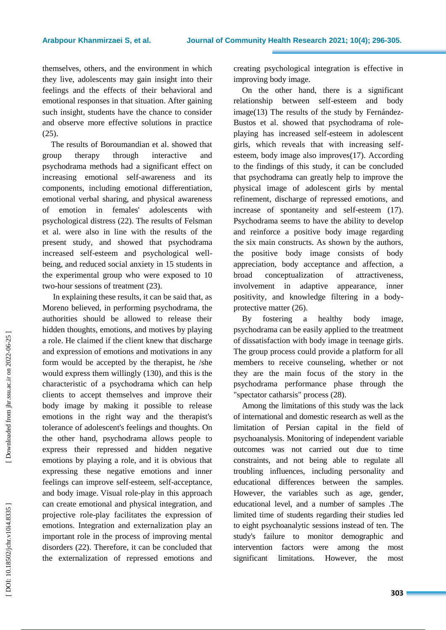themselves, others, and the environment in which they live, adolescents may gain insight into their feelings and the effects of their behavioral and emotional responses in that situation. After gaining such insight, students have the chance to consider and observe more effective solutions in practice (25).

The results of Boroumandian et al. showed that group therapy through interactive and psychodrama methods had a significant effect on increasing emotional self -awareness and its components , including emotional differentiation, emotional verbal sharing, and physical awareness of emotion in females' adolescents with psychological distress (22) . The results of Felsman et al . were also in line with the results of the present study , and showed that psychodrama increased self-esteem and psychological well being , and reduce d social anxiety in 15 students in the experimental group who were exposed to 10 two -hour sessions of treatment (23).

In explaining these results, it can be said that, as Moreno believed, in performing psychodrama, the authorities should be allowed to release their hidden thoughts, emotions, and motives by playing a role. He claimed if the client knew that discharge and expression of emotions and motivations in any form would be accepted by the therapist, he /she would express them willingly (130) , and this is the characteristic of a psychodrama which can help clients to accept themselves and improve their body image by making it possible to release emotions in the right way and the therapist's tolerance of adolescent's feelings and thoughts. On the other hand, psychodrama allows people to express their repressed and hidden negative emotions by playing a role, and it is obvious that expressing these negative emotions and inner feelings can improve self-esteem, self -acceptance, and body image. Visual role -play in this approach can create emotional and physical integration, and projective role -play facilitates the expression of emotions. Integration and externalization play an important role in the process of improving mental disorders (22). Therefore, it can be concluded that the externalization of repressed emotions and

creating psychological integration is effective in improving body image.

On the other hand, there is a significant relationship between self -esteem and body image(13) The results of the study by Fernández - Bustos et al. showed that psychodrama of role playing has increased self -esteem in adolescent girls, which reveals that with increasing self esteem, body image also improves(17) . According to the findings of this study, it can be concluded that psychodrama can greatly help to improve the physical image of adolescent girls by mental refinement, discharge of repressed emotions, and increase of spontaneity and self-esteem (17) . Psychodrama seems to have the ability to develop and reinforce a positive body image regarding the six main constructs. As shown by the authors, the positive body image consists of body appreciation, body acceptance and affection, a broad conceptualization of attractiveness, involvement in adaptive appearance, inner positivity, and knowledge filtering in a body protective matter (26).

By fostering a healthy body image, psychodrama can be easily applied to the treatment of dissatisfaction with body image in teenage girls. The group process could provide a platform for all members to receive counseling, whether or not they are the main focus of the story in the psychodrama performance phase through the "spectator catharsis" process (28) .

Among the limitations of this study was the lack of international and domestic research as well as the limitation of Persian capital in the field of psychoanalysis. Monitoring of independent variable outcomes was not carried out due to time constraints, and not being able to regulate all troubling influences, including personality and educational differences between the samples. However, the variables such as age, gender, educational level, and a number of samples .The limited time of students regarding their studies led to eight psychoanalytic sessions instead of ten. The study's failure to monitor demographic and intervention factors were among the most significant limitations. However, the most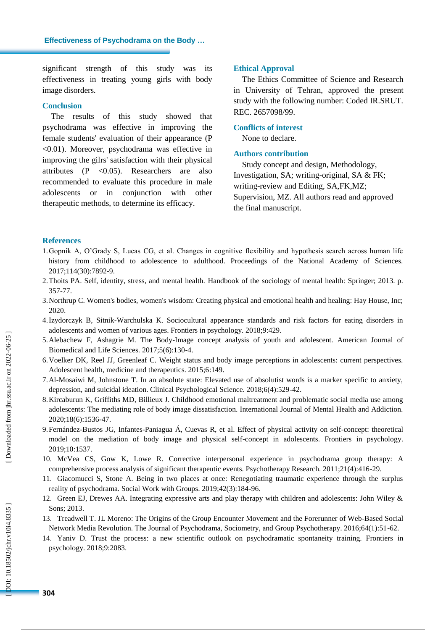significant strength of this study was its effectiveness in treating young girls with body image disorders.

# **Conclusion**

The results of this study showed that psychodrama was effective in improving the female students' evaluation of their appearance (P <0.01). Moreover, psychodrama was effective in improving the gilrs' satisfaction with their physical attributes (P <0.05). Researchers are also recommended to evaluate this procedure in male adolescents or in conjunction with other therapeutic methods, to determine its efficacy.

## **Ethical Approval**

The Ethics Committee of Science and Research in University of Tehran, approved the present study with the following number: Coded IR.SRUT. REC. 2657098/99.

### **Conflicts of interest**

None to declare.

### **Authors contribution**

Study concept and design, Methodology, Investigation, SA; writing -original, SA & FK; writing -review and Editing, SA,FK,MZ; Supervision, MZ. All authors read and approved the final manuscript .

# **References**

- 1.Gopnik A, O'Grady S, Lucas CG, et al. Changes in cognitive flexibility and hypothesis search across human life history from childhood to adolescence to adulthood. Proceedings of the National Academy of Sciences. 2017;114(30):7892 -9.
- 2.Thoits PA. Self, identity, stress, and mental health. Handbook of the sociology of mental health: Springer; 2013. p. 357 -77.
- 3.Northrup C. Women's bodies, women's wisdom: Creating physical and emotional health and healing: Hay House, Inc; 2020 .
- 4.Izydorczyk B, Sitnik -Warchulska K. Sociocultural appearance standards and risk factors for eating disorders in adolescents and women of various ages. Frontiers in psychology. 2018;9:429.
- 5.Alebachew F, Ashagrie M. The Body -Image concept analysis of youth and adolescent. American Journal of Biomedical and Life Sciences. 2017;5(6):130 -4.
- 6.Voelker DK, Reel JJ, Greenleaf C. Weight status and body image perceptions in adolescents: current perspectives. Adolescent health, medicine and therapeutics. 2015;6:149.
- 7.Al -Mosaiwi M, Johnstone T. In an absolute state: Elevated use of absolutist words is a marker specific to anxiety, depression, and suicidal ideation. Clinical Psychological Science. 2018;6(4):529 -42.
- 8.Kircaburun K, Griffiths MD, Billieux J. Childhood emotional maltreatment and problematic social media use among adolescents: The mediating role of body image dissatisfaction. International Journal of Mental Health and Addiction. 2020;18(6):1536 -47.
- 9.Fernández -Bustos JG, Infantes -Paniagua Á, Cuevas R, et al. Effect of physical activity on self -concept: theoretical model on the mediation of body image and physical self -concept in adolescents. Frontiers in psychology. 2019;10:1537.
- 10. McVea CS, Gow K, Lowe R. Corrective interpersonal experience in psychodrama group therapy: A comprehensive process analysis of significant therapeutic events. Psychotherapy Research. 2011;21(4):416 -29.
- 11. Giacomucci S, Stone A. Being in two places at once: Renegotiating traumatic experience through the surplus reality of psychodrama. Social Work with Groups. 2019;42(3):184 -96.
- 12. Green EJ, Drewes AA. Integrating expressive arts and play therapy with children and adolescents: John Wiley & Sons; 2013.
- 13. Treadwell T. JL Moreno: The Origins of the Group Encounter Movement and the Forerunner of Web -Based Social Network Media Revolution. The Journal of Psychodrama, Sociometry, and Group Psychotherapy. 2016;64(1):51 -62.
- 14. Yaniv D. Trust the process: a new scientific outlook on psychodramatic spontaneity training. Frontiers in psychology. 2018;9:2083.

OOI: 10.18502/jchr.v10i4.8335